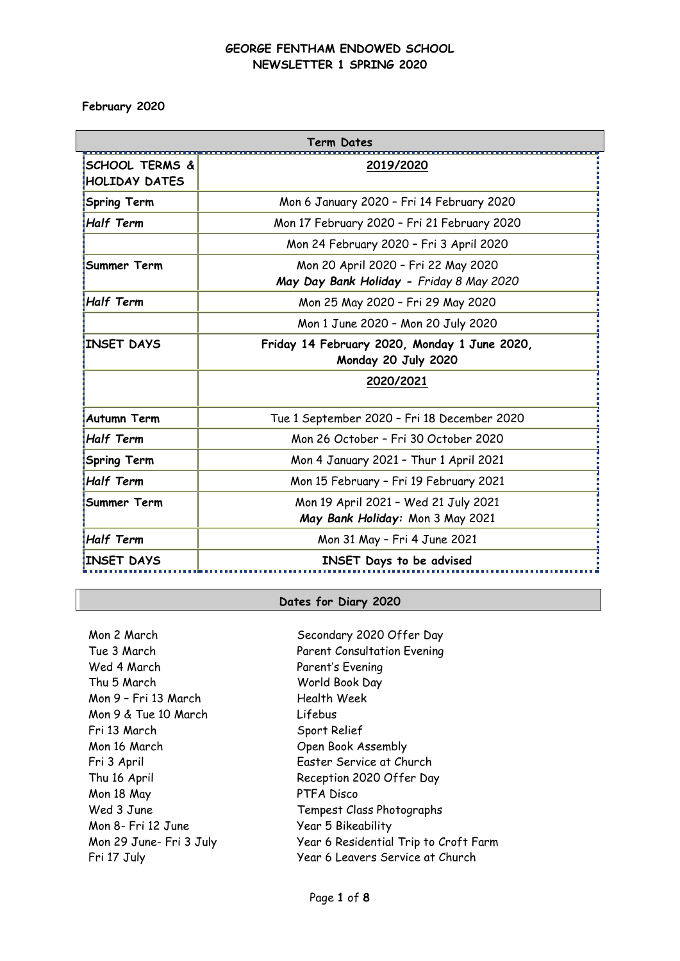**February 2020**

 $\overline{\phantom{a}}$ 

| Term Dates                       |                                                                                 |  |
|----------------------------------|---------------------------------------------------------------------------------|--|
| ISCHOOL TERMS &<br>HOLIDAY DATES | 2019/2020                                                                       |  |
| <b>Spring Term</b>               | Mon 6 January 2020 - Fri 14 February 2020                                       |  |
| <b>Half Term</b>                 | Mon 17 February 2020 - Fri 21 February 2020                                     |  |
|                                  | Mon 24 February 2020 - Fri 3 April 2020                                         |  |
| Summer Term                      | Mon 20 April 2020 - Fri 22 May 2020<br>May Day Bank Holiday - Friday 8 May 2020 |  |
| <b>Half Term</b>                 | Mon 25 May 2020 - Fri 29 May 2020                                               |  |
|                                  | Mon 1 June 2020 - Mon 20 July 2020                                              |  |
| <b>INSET DAYS</b>                | Friday 14 February 2020, Monday 1 June 2020,<br>Monday 20 July 2020             |  |
|                                  | 2020/2021                                                                       |  |
| <b>Autumn Term</b>               | Tue 1 September 2020 - Fri 18 December 2020                                     |  |
| <b>Half Term</b>                 | Mon 26 October - Fri 30 October 2020                                            |  |
| <b>Spring Term</b>               | Mon 4 January 2021 - Thur 1 April 2021                                          |  |
| <b>Half Term</b>                 | Mon 15 February - Fri 19 February 2021                                          |  |
| Summer Term                      | Mon 19 April 2021 - Wed 21 July 2021<br>May Bank Holiday: Mon 3 May 2021        |  |
| Half Term                        | Mon 31 May - Fri 4 June 2021                                                    |  |
| INSET DAYS!                      | <b>INSET Days to be advised</b>                                                 |  |

## **Dates for Diary 2020**

Mon 2 March Secondary 2020 Offer Day Tue 3 March Wed 4 March Thu 5 March Mon 9 – Fri 13 March Mon 9 & Tue 10 March Lifebus Fri 13 March Sport Relief Mon 16 March Chen Book Assembly Mon 18 May PTFA Disco Mon 8- Fri 12 June Year 5 Bikeability

Parent Consultation Evening Parent's Evening World Book Day Health Week Fri 3 April Easter Service at Church Thu 16 April **Reception 2020 Offer Day** Wed 3 June Tempest Class Photographs Mon 29 June- Fri 3 July Year 6 Residential Trip to Croft Farm Fri 17 July **Fri 17 July 18 No. 18 Year 6 Leavers Service at Church**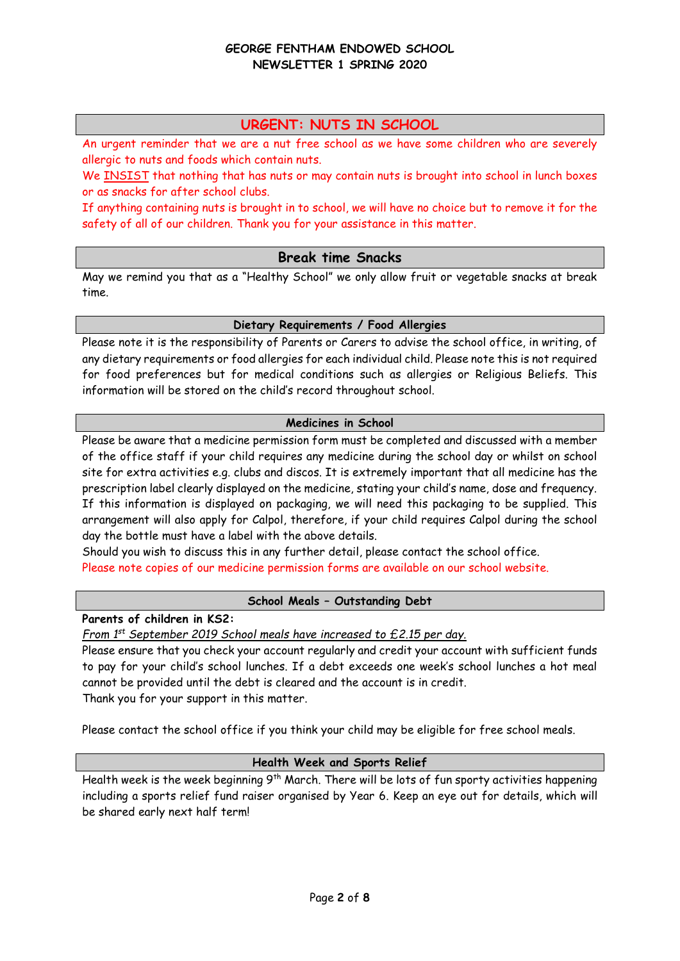# **URGENT: NUTS IN SCHOOL**

An urgent reminder that we are a nut free school as we have some children who are severely allergic to nuts and foods which contain nuts.

We INSIST that nothing that has nuts or may contain nuts is brought into school in lunch boxes or as snacks for after school clubs.

If anything containing nuts is brought in to school, we will have no choice but to remove it for the safety of all of our children. Thank you for your assistance in this matter.

## **Break time Snacks**

May we remind you that as a "Healthy School" we only allow fruit or vegetable snacks at break time.

### **Dietary Requirements / Food Allergies**

Please note it is the responsibility of Parents or Carers to advise the school office, in writing, of any dietary requirements or food allergies for each individual child. Please note this is not required for food preferences but for medical conditions such as allergies or Religious Beliefs. This information will be stored on the child's record throughout school.

# **Medicines in School**

Please be aware that a medicine permission form must be completed and discussed with a member of the office staff if your child requires any medicine during the school day or whilst on school site for extra activities e.g. clubs and discos. It is extremely important that all medicine has the prescription label clearly displayed on the medicine, stating your child's name, dose and frequency. If this information is displayed on packaging, we will need this packaging to be supplied. This arrangement will also apply for Calpol, therefore, if your child requires Calpol during the school day the bottle must have a label with the above details.

Should you wish to discuss this in any further detail, please contact the school office. Please note copies of our medicine permission forms are available on our school website.

# **School Meals – Outstanding Debt**

**Parents of children in KS2:**

*From 1st September 2019 School meals have increased to £2.15 per day.*

Please ensure that you check your account regularly and credit your account with sufficient funds to pay for your child's school lunches. If a debt exceeds one week's school lunches a hot meal cannot be provided until the debt is cleared and the account is in credit. Thank you for your support in this matter.

Please contact the school office if you think your child may be eligible for free school meals.

# **Health Week and Sports Relief**

Health week is the week beginning 9<sup>th</sup> March. There will be lots of fun sporty activities happening including a sports relief fund raiser organised by Year 6. Keep an eye out for details, which will be shared early next half term!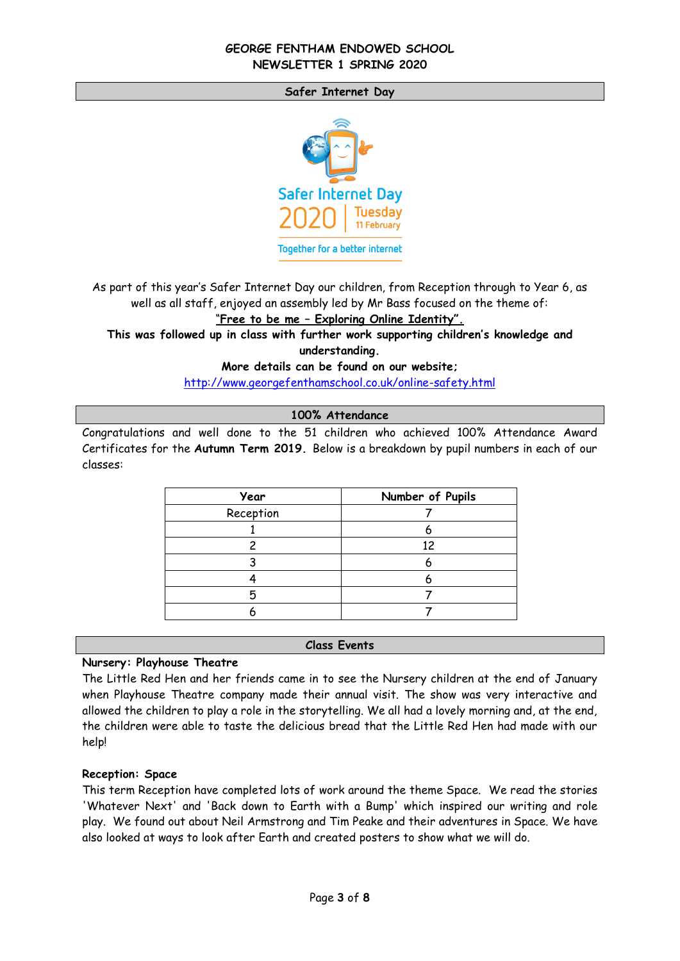#### **Safer Internet Day**



As part of this year's Safer Internet Day our children, from Reception through to Year 6, as well as all staff, enjoyed an assembly led by Mr Bass focused on the theme of:

"**Free to be me – Exploring Online Identity".**

**This was followed up in class with further work supporting children's knowledge and understanding.** 

**More details can be found on our website;**

<http://www.georgefenthamschool.co.uk/online-safety.html>

**100% Attendance** 

Congratulations and well done to the 51 children who achieved 100% Attendance Award Certificates for the **Autumn Term 2019.** Below is a breakdown by pupil numbers in each of our classes:

| Year      | Number of Pupils |
|-----------|------------------|
| Reception |                  |
|           |                  |
|           | 12               |
|           |                  |
|           |                  |
|           |                  |
|           |                  |

#### **Class Events**

#### **Nursery: Playhouse Theatre**

The Little Red Hen and her friends came in to see the Nursery children at the end of January when Playhouse Theatre company made their annual visit. The show was very interactive and allowed the children to play a role in the storytelling. We all had a lovely morning and, at the end, the children were able to taste the delicious bread that the Little Red Hen had made with our help!

#### **Reception: Space**

This term Reception have completed lots of work around the theme Space. We read the stories 'Whatever Next' and 'Back down to Earth with a Bump' which inspired our writing and role play. We found out about Neil Armstrong and Tim Peake and their adventures in Space. We have also looked at ways to look after Earth and created posters to show what we will do.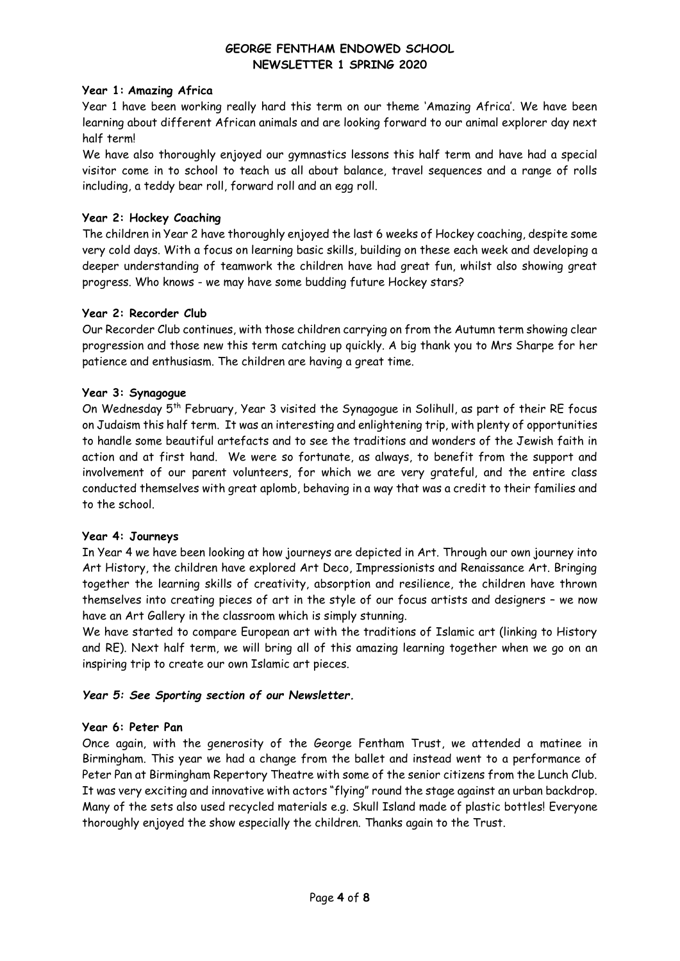## **Year 1: Amazing Africa**

Year 1 have been working really hard this term on our theme 'Amazing Africa'. We have been learning about different African animals and are looking forward to our animal explorer day next half term!

We have also thoroughly enjoyed our gymnastics lessons this half term and have had a special visitor come in to school to teach us all about balance, travel sequences and a range of rolls including, a teddy bear roll, forward roll and an egg roll.

# **Year 2: Hockey Coaching**

The children in Year 2 have thoroughly enjoyed the last 6 weeks of Hockey coaching, despite some very cold days. With a focus on learning basic skills, building on these each week and developing a deeper understanding of teamwork the children have had great fun, whilst also showing great progress. Who knows - we may have some budding future Hockey stars?

# **Year 2: Recorder Club**

Our Recorder Club continues, with those children carrying on from the Autumn term showing clear progression and those new this term catching up quickly. A big thank you to Mrs Sharpe for her patience and enthusiasm. The children are having a great time.

# **Year 3: Synagogue**

On Wednesday 5th February, Year 3 visited the Synagogue in Solihull, as part of their RE focus on Judaism this half term. It was an interesting and enlightening trip, with plenty of opportunities to handle some beautiful artefacts and to see the traditions and wonders of the Jewish faith in action and at first hand. We were so fortunate, as always, to benefit from the support and involvement of our parent volunteers, for which we are very grateful, and the entire class conducted themselves with great aplomb, behaving in a way that was a credit to their families and to the school.

# **Year 4: Journeys**

In Year 4 we have been looking at how journeys are depicted in Art. Through our own journey into Art History, the children have explored Art Deco, Impressionists and Renaissance Art. Bringing together the learning skills of creativity, absorption and resilience, the children have thrown themselves into creating pieces of art in the style of our focus artists and designers – we now have an Art Gallery in the classroom which is simply stunning.

We have started to compare European art with the traditions of Islamic art (linking to History and RE). Next half term, we will bring all of this amazing learning together when we go on an inspiring trip to create our own Islamic art pieces.

# *Year 5: See Sporting section of our Newsletter.*

#### **Year 6: Peter Pan**

Once again, with the generosity of the George Fentham Trust, we attended a matinee in Birmingham. This year we had a change from the ballet and instead went to a performance of Peter Pan at Birmingham Repertory Theatre with some of the senior citizens from the Lunch Club. It was very exciting and innovative with actors "flying" round the stage against an urban backdrop. Many of the sets also used recycled materials e.g. Skull Island made of plastic bottles! Everyone thoroughly enjoyed the show especially the children. Thanks again to the Trust.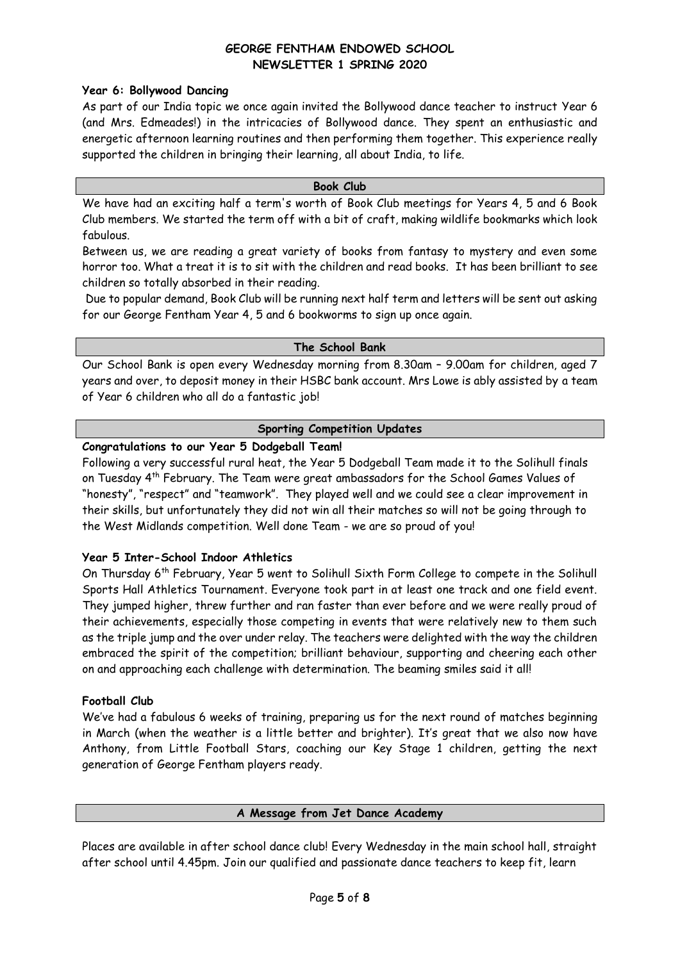# **Year 6: Bollywood Dancing**

As part of our India topic we once again invited the Bollywood dance teacher to instruct Year 6 (and Mrs. Edmeades!) in the intricacies of Bollywood dance. They spent an enthusiastic and energetic afternoon learning routines and then performing them together. This experience really supported the children in bringing their learning, all about India, to life.

#### **Book Club**

We have had an exciting half a term's worth of Book Club meetings for Years 4, 5 and 6 Book Club members. We started the term off with a bit of craft, making wildlife bookmarks which look fabulous.

Between us, we are reading a great variety of books from fantasy to mystery and even some horror too. What a treat it is to sit with the children and read books. It has been brilliant to see children so totally absorbed in their reading.

Due to popular demand, Book Club will be running next half term and letters will be sent out asking for our George Fentham Year 4, 5 and 6 bookworms to sign up once again.

### **The School Bank**

Our School Bank is open every Wednesday morning from 8.30am – 9.00am for children, aged 7 years and over, to deposit money in their HSBC bank account. Mrs Lowe is ably assisted by a team of Year 6 children who all do a fantastic job!

# **Sporting Competition Updates**

# **Congratulations to our Year 5 Dodgeball Team!**

Following a very successful rural heat, the Year 5 Dodgeball Team made it to the Solihull finals on Tuesday 4th February. The Team were great ambassadors for the School Games Values of "honesty", "respect" and "teamwork". They played well and we could see a clear improvement in their skills, but unfortunately they did not win all their matches so will not be going through to the West Midlands competition. Well done Team - we are so proud of you!

# **Year 5 Inter-School Indoor Athletics**

On Thursday 6th February, Year 5 went to Solihull Sixth Form College to compete in the Solihull Sports Hall Athletics Tournament. Everyone took part in at least one track and one field event. They jumped higher, threw further and ran faster than ever before and we were really proud of their achievements, especially those competing in events that were relatively new to them such as the triple jump and the over under relay. The teachers were delighted with the way the children embraced the spirit of the competition; brilliant behaviour, supporting and cheering each other on and approaching each challenge with determination. The beaming smiles said it all!

# **Football Club**

We've had a fabulous 6 weeks of training, preparing us for the next round of matches beginning in March (when the weather is a little better and brighter). It's great that we also now have Anthony, from Little Football Stars, coaching our Key Stage 1 children, getting the next generation of George Fentham players ready.

#### **A Message from Jet Dance Academy**

Places are available in after school dance club! Every Wednesday in the main school hall, straight after school until 4.45pm. Join our qualified and passionate dance teachers to keep fit, learn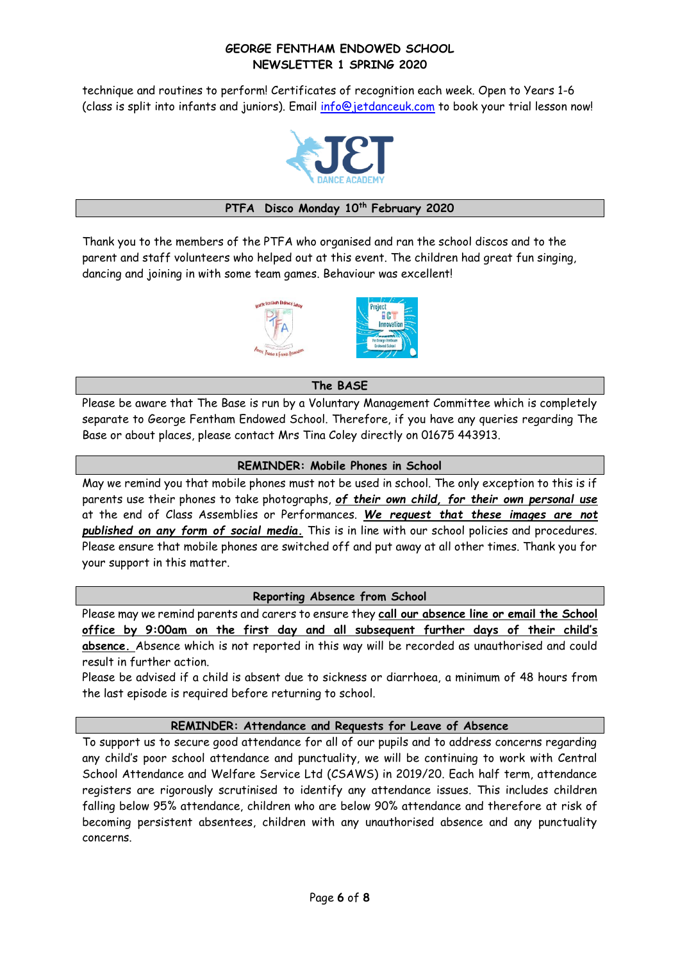technique and routines to perform! Certificates of recognition each week. Open to Years 1-6 (class is split into infants and juniors). Email [info@jetdanceuk.com](mailto:info@jetdanceuk.com) to book your trial lesson now!



## **PTFA Disco Monday 10th February 2020**

Thank you to the members of the PTFA who organised and ran the school discos and to the parent and staff volunteers who helped out at this event. The children had great fun singing, dancing and joining in with some team games. Behaviour was excellent!



# **The BASE**

Please be aware that The Base is run by a Voluntary Management Committee which is completely separate to George Fentham Endowed School. Therefore, if you have any queries regarding The Base or about places, please contact Mrs Tina Coley directly on 01675 443913.

### **REMINDER: Mobile Phones in School**

May we remind you that mobile phones must not be used in school. The only exception to this is if parents use their phones to take photographs, *of their own child, for their own personal use* at the end of Class Assemblies or Performances. *We request that these images are not published on any form of social media.* This is in line with our school policies and procedures. Please ensure that mobile phones are switched off and put away at all other times. Thank you for your support in this matter.

#### **Reporting Absence from School**

Please may we remind parents and carers to ensure they **call our absence line or email the School office by 9:00am on the first day and all subsequent further days of their child's absence.** Absence which is not reported in this way will be recorded as unauthorised and could result in further action.

Please be advised if a child is absent due to sickness or diarrhoea, a minimum of 48 hours from the last episode is required before returning to school.

# **REMINDER: Attendance and Requests for Leave of Absence**

To support us to secure good attendance for all of our pupils and to address concerns regarding any child's poor school attendance and punctuality, we will be continuing to work with Central School Attendance and Welfare Service Ltd (CSAWS) in 2019/20. Each half term, attendance registers are rigorously scrutinised to identify any attendance issues. This includes children falling below 95% attendance, children who are below 90% attendance and therefore at risk of becoming persistent absentees, children with any unauthorised absence and any punctuality concerns.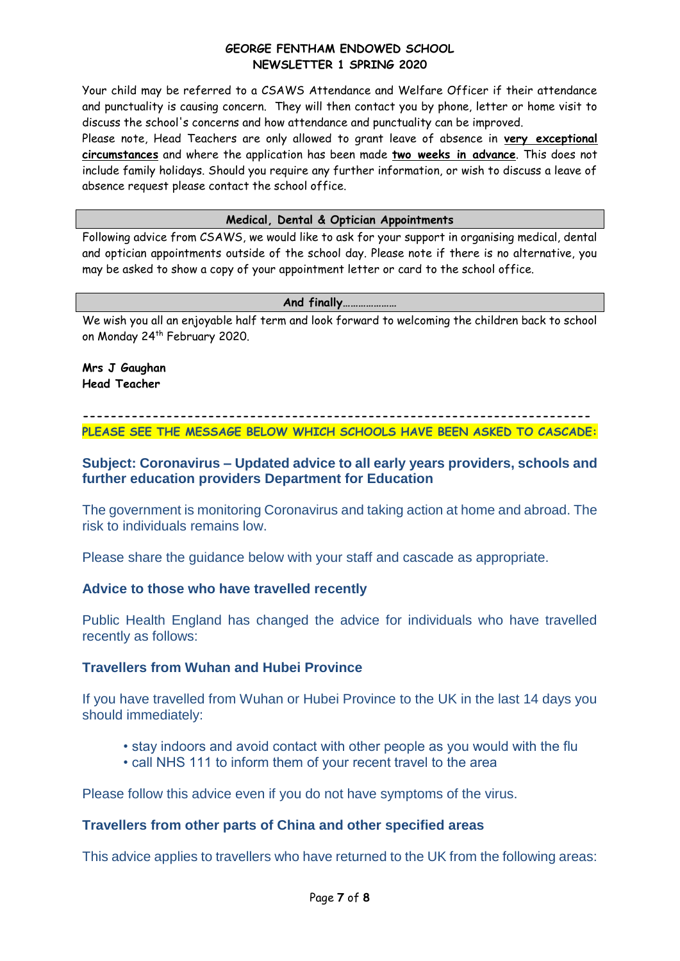Your child may be referred to a CSAWS Attendance and Welfare Officer if their attendance and punctuality is causing concern. They will then contact you by phone, letter or home visit to discuss the school's concerns and how attendance and punctuality can be improved.

Please note, Head Teachers are only allowed to grant leave of absence in **very exceptional circumstances** and where the application has been made **two weeks in advance**. This does not include family holidays. Should you require any further information, or wish to discuss a leave of absence request please contact the school office.

# **Medical, Dental & Optician Appointments**

Following advice from CSAWS, we would like to ask for your support in organising medical, dental and optician appointments outside of the school day. Please note if there is no alternative, you may be asked to show a copy of your appointment letter or card to the school office.

#### **And finally…………………**

We wish you all an enjoyable half term and look forward to welcoming the children back to school on Monday 24th February 2020.

## **Mrs J Gaughan Head Teacher**

**------------------------------------------------------------------------- PLEASE SEE THE MESSAGE BELOW WHICH SCHOOLS HAVE BEEN ASKED TO CASCADE:**

# **Subject: Coronavirus – Updated advice to all early years providers, schools and further education providers Department for Education**

The government is monitoring Coronavirus and taking action at home and abroad. The risk to individuals remains low.

Please share the guidance below with your staff and cascade as appropriate.

# **Advice to those who have travelled recently**

Public Health England has changed the advice for individuals who have travelled recently as follows:

# **Travellers from Wuhan and Hubei Province**

If you have travelled from Wuhan or Hubei Province to the UK in the last 14 days you should immediately:

- stay indoors and avoid contact with other people as you would with the flu
- call NHS 111 to inform them of your recent travel to the area

Please follow this advice even if you do not have symptoms of the virus.

# **Travellers from other parts of China and other specified areas**

This advice applies to travellers who have returned to the UK from the following areas: